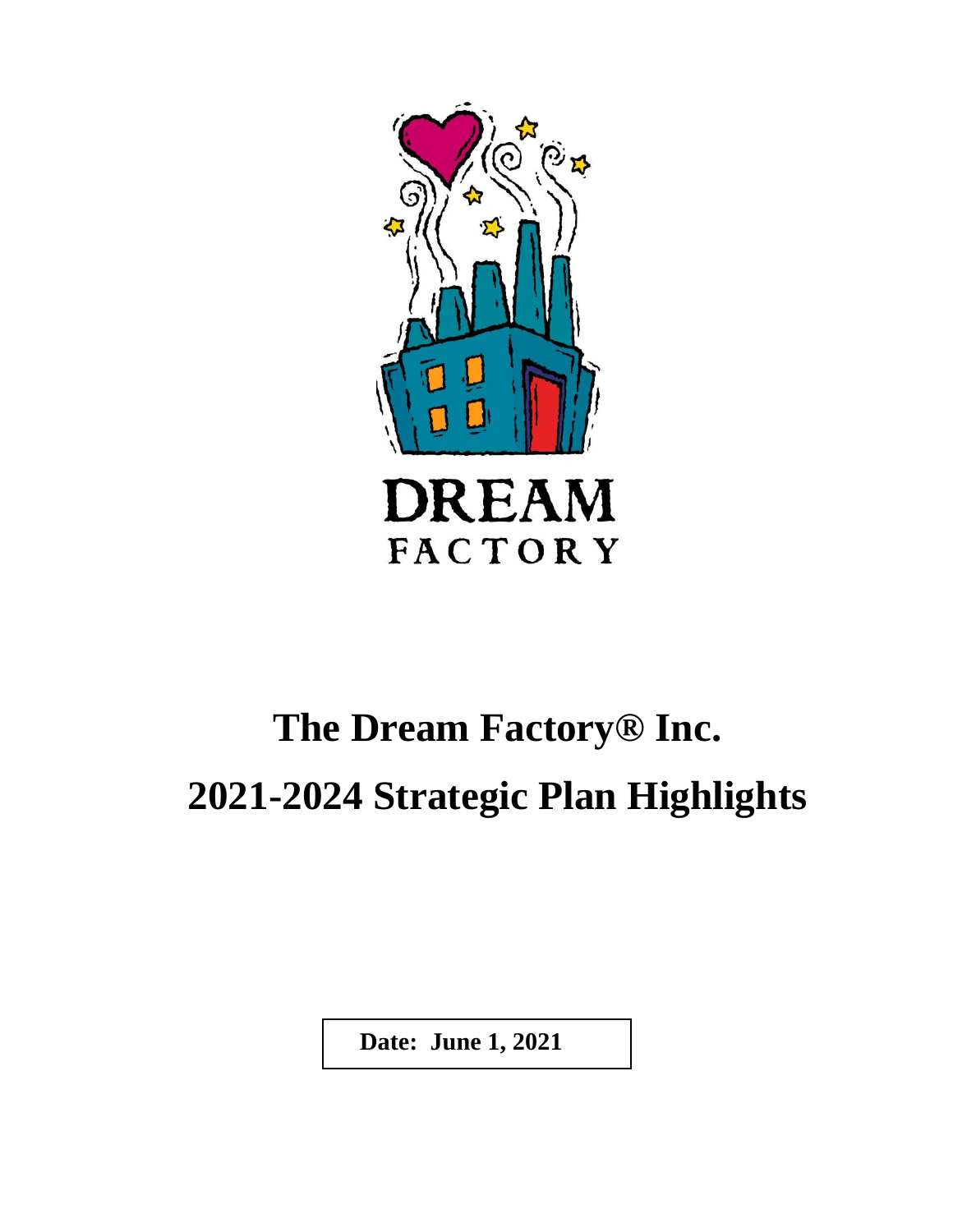

# **The Dream Factory® Inc. 2021-2024 Strategic Plan Highlights**

 **Date: June 1, 2021**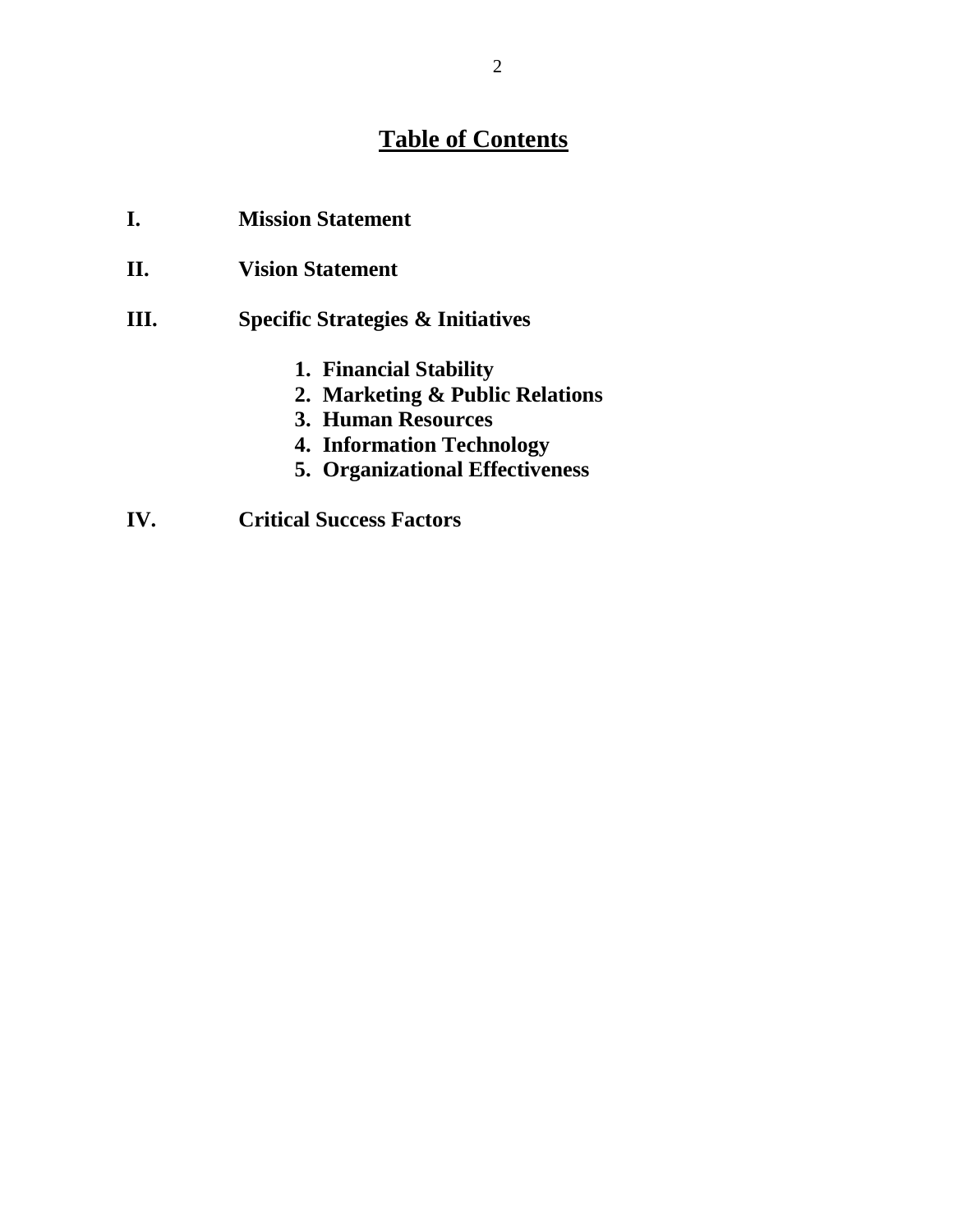## **Table of Contents**

| I. | <b>Mission Statement</b>          |
|----|-----------------------------------|
| П. | <b>Vision Statement</b>           |
| Ш. | Specific Strategies & Initiatives |
|    | 1. Financial Stability            |
|    | 2. Marketing & Public Relations   |
|    | <b>3. Human Resources</b>         |
|    | <b>4. Information Technology</b>  |
|    | I TAGO                            |

- **5. Organizational Effectiveness**
- **IV. Critical Success Factors**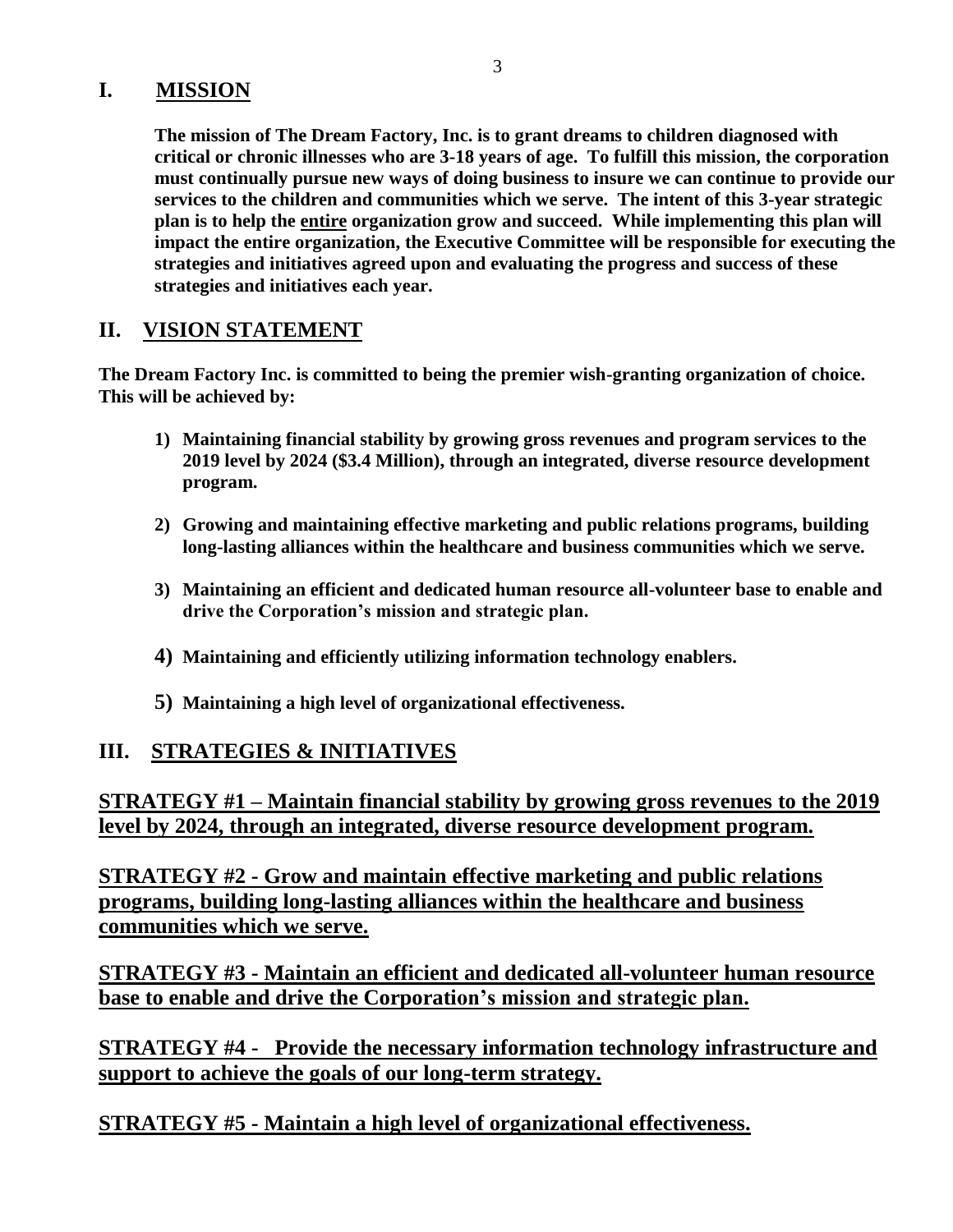#### **I. MISSION**

**The mission of The Dream Factory, Inc. is to grant dreams to children diagnosed with critical or chronic illnesses who are 3-18 years of age. To fulfill this mission, the corporation must continually pursue new ways of doing business to insure we can continue to provide our services to the children and communities which we serve. The intent of this 3-year strategic plan is to help the entire organization grow and succeed. While implementing this plan will impact the entire organization, the Executive Committee will be responsible for executing the strategies and initiatives agreed upon and evaluating the progress and success of these strategies and initiatives each year.**

#### **II. VISION STATEMENT**

**The Dream Factory Inc. is committed to being the premier wish-granting organization of choice. This will be achieved by:**

- **1) Maintaining financial stability by growing gross revenues and program services to the 2019 level by 2024 (\$3.4 Million), through an integrated, diverse resource development program.**
- **2) Growing and maintaining effective marketing and public relations programs, building long-lasting alliances within the healthcare and business communities which we serve.**
- **3) Maintaining an efficient and dedicated human resource all-volunteer base to enable and drive the Corporation's mission and strategic plan.**
- **4) Maintaining and efficiently utilizing information technology enablers.**
- **5) Maintaining a high level of organizational effectiveness.**

### **III. STRATEGIES & INITIATIVES**

**STRATEGY #1 – Maintain financial stability by growing gross revenues to the 2019 level by 2024, through an integrated, diverse resource development program.**

**STRATEGY #2 - Grow and maintain effective marketing and public relations programs, building long-lasting alliances within the healthcare and business communities which we serve.**

**STRATEGY #3 - Maintain an efficient and dedicated all-volunteer human resource base to enable and drive the Corporation's mission and strategic plan.**

**STRATEGY #4 - Provide the necessary information technology infrastructure and support to achieve the goals of our long-term strategy.**

**STRATEGY #5 - Maintain a high level of organizational effectiveness.**